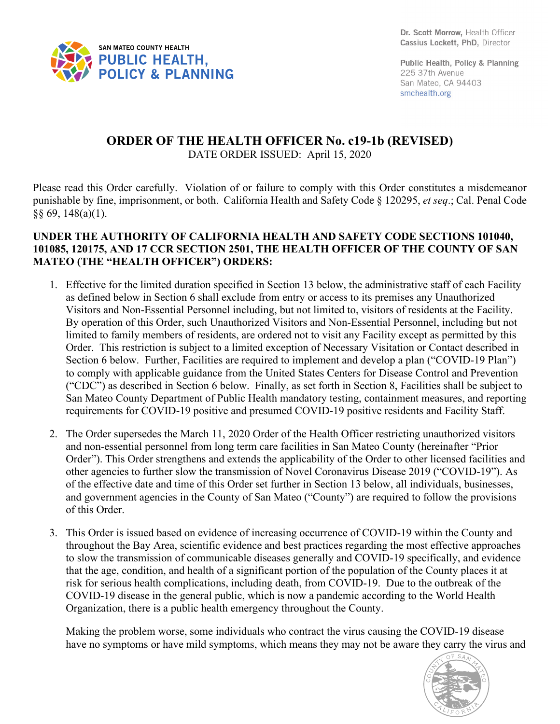

Public Health, Policy & Planning 225 37th Avenue San Mateo, CA 94403 smchealth.org

## **ORDER OF THE HEALTH OFFICER No. c19-1b (REVISED)** DATE ORDER ISSUED: April 15, 2020

Please read this Order carefully. Violation of or failure to comply with this Order constitutes a misdemeanor punishable by fine, imprisonment, or both. California Health and Safety Code § 120295, *et seq*.; Cal. Penal Code §§ 69, 148(a)(1).

## **UNDER THE AUTHORITY OF CALIFORNIA HEALTH AND SAFETY CODE SECTIONS 101040, 101085, 120175, AND 17 CCR SECTION 2501, THE HEALTH OFFICER OF THE COUNTY OF SAN MATEO (THE "HEALTH OFFICER") ORDERS:**

- 1. Effective for the limited duration specified in Section 13 below, the administrative staff of each Facility as defined below in Section 6 shall exclude from entry or access to its premises any Unauthorized Visitors and Non-Essential Personnel including, but not limited to, visitors of residents at the Facility. By operation of this Order, such Unauthorized Visitors and Non-Essential Personnel, including but not limited to family members of residents, are ordered not to visit any Facility except as permitted by this Order. This restriction is subject to a limited exception of Necessary Visitation or Contact described in Section 6 below. Further, Facilities are required to implement and develop a plan ("COVID-19 Plan") to comply with applicable guidance from the United States Centers for Disease Control and Prevention ("CDC") as described in Section 6 below. Finally, as set forth in Section 8, Facilities shall be subject to San Mateo County Department of Public Health mandatory testing, containment measures, and reporting requirements for COVID-19 positive and presumed COVID-19 positive residents and Facility Staff.
- 2. The Order supersedes the March 11, 2020 Order of the Health Officer restricting unauthorized visitors and non-essential personnel from long term care facilities in San Mateo County (hereinafter "Prior Order"). This Order strengthens and extends the applicability of the Order to other licensed facilities and other agencies to further slow the transmission of Novel Coronavirus Disease 2019 ("COVID-19"). As of the effective date and time of this Order set further in Section 13 below, all individuals, businesses, and government agencies in the County of San Mateo ("County") are required to follow the provisions of this Order.
- 3. This Order is issued based on evidence of increasing occurrence of COVID-19 within the County and throughout the Bay Area, scientific evidence and best practices regarding the most effective approaches to slow the transmission of communicable diseases generally and COVID-19 specifically, and evidence that the age, condition, and health of a significant portion of the population of the County places it at risk for serious health complications, including death, from COVID-19. Due to the outbreak of the COVID-19 disease in the general public, which is now a pandemic according to the World Health Organization, there is a public health emergency throughout the County.

Making the problem worse, some individuals who contract the virus causing the COVID-19 disease have no symptoms or have mild symptoms, which means they may not be aware they carry the virus and

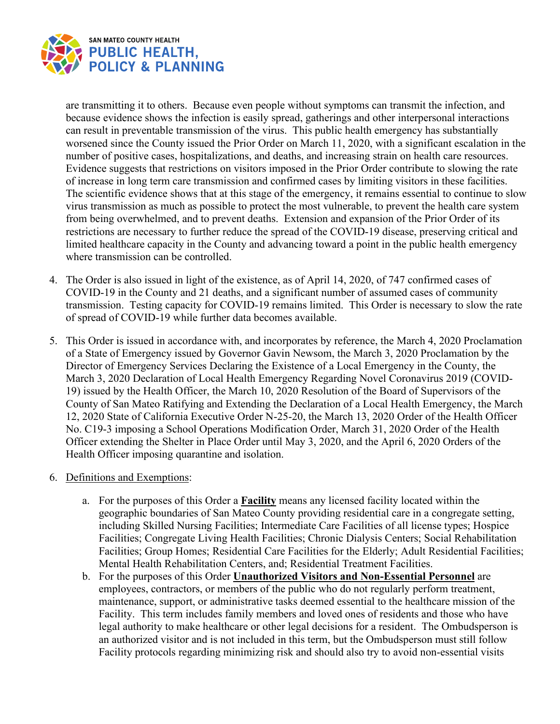

are transmitting it to others. Because even people without symptoms can transmit the infection, and because evidence shows the infection is easily spread, gatherings and other interpersonal interactions can result in preventable transmission of the virus. This public health emergency has substantially worsened since the County issued the Prior Order on March 11, 2020, with a significant escalation in the number of positive cases, hospitalizations, and deaths, and increasing strain on health care resources. Evidence suggests that restrictions on visitors imposed in the Prior Order contribute to slowing the rate of increase in long term care transmission and confirmed cases by limiting visitors in these facilities. The scientific evidence shows that at this stage of the emergency, it remains essential to continue to slow virus transmission as much as possible to protect the most vulnerable, to prevent the health care system from being overwhelmed, and to prevent deaths. Extension and expansion of the Prior Order of its restrictions are necessary to further reduce the spread of the COVID-19 disease, preserving critical and limited healthcare capacity in the County and advancing toward a point in the public health emergency where transmission can be controlled.

- 4. The Order is also issued in light of the existence, as of April 14, 2020, of 747 confirmed cases of COVID-19 in the County and 21 deaths, and a significant number of assumed cases of community transmission. Testing capacity for COVID-19 remains limited. This Order is necessary to slow the rate of spread of COVID-19 while further data becomes available.
- 5. This Order is issued in accordance with, and incorporates by reference, the March 4, 2020 Proclamation of a State of Emergency issued by Governor Gavin Newsom, the March 3, 2020 Proclamation by the Director of Emergency Services Declaring the Existence of a Local Emergency in the County, the March 3, 2020 Declaration of Local Health Emergency Regarding Novel Coronavirus 2019 (COVID-19) issued by the Health Officer, the March 10, 2020 Resolution of the Board of Supervisors of the County of San Mateo Ratifying and Extending the Declaration of a Local Health Emergency, the March 12, 2020 State of California Executive Order N-25-20, the March 13, 2020 Order of the Health Officer No. C19-3 imposing a School Operations Modification Order, March 31, 2020 Order of the Health Officer extending the Shelter in Place Order until May 3, 2020, and the April 6, 2020 Orders of the Health Officer imposing quarantine and isolation.
- 6. Definitions and Exemptions:
	- a. For the purposes of this Order a **Facility** means any licensed facility located within the geographic boundaries of San Mateo County providing residential care in a congregate setting, including Skilled Nursing Facilities; Intermediate Care Facilities of all license types; Hospice Facilities; Congregate Living Health Facilities; Chronic Dialysis Centers; Social Rehabilitation Facilities; Group Homes; Residential Care Facilities for the Elderly; Adult Residential Facilities; Mental Health Rehabilitation Centers, and; Residential Treatment Facilities.
	- b. For the purposes of this Order **Unauthorized Visitors and Non-Essential Personnel** are employees, contractors, or members of the public who do not regularly perform treatment, maintenance, support, or administrative tasks deemed essential to the healthcare mission of the Facility. This term includes family members and loved ones of residents and those who have legal authority to make healthcare or other legal decisions for a resident. The Ombudsperson is an authorized visitor and is not included in this term, but the Ombudsperson must still follow Facility protocols regarding minimizing risk and should also try to avoid non-essential visits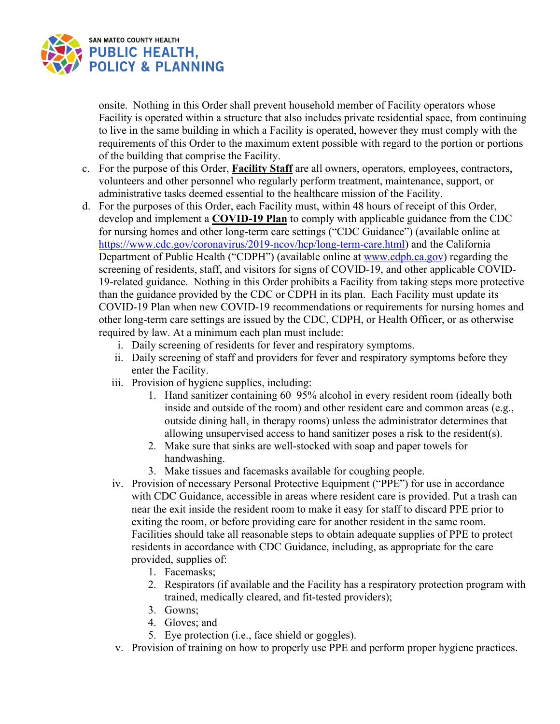

onsite. Nothing in this Order shall prevent household member of Facility operators whose Facility is operated within a structure that also includes private residential space, from continuing to live in the same building in which a Facility is operated, however they must comply with the requirements of this Order to the maximum extent possible with regard to the portion or portions of the building that comprise the Facility.

- c. For the purpose of this Order, **Facility Staff** are all owners, operators, employees, contractors, volunteers and other personnel who regularly perform treatment, maintenance, support, or administrative tasks deemed essential to the healthcare mission of the Facility.
- d. For the purposes of this Order, each Facility must, within 48 hours of receipt of this Order, develop and implement a **COVID-19 Plan** to comply with applicable guidance from the CDC for nursing homes and other long-term care settings ("CDC Guidance") (available online at [https://www.cdc.gov/coronavirus/2019-ncov/hcp/long-term-care.html\)](https://www.cdc.gov/coronavirus/2019-ncov/hcp/long-term-care.html) and the California Department of Public Health ("CDPH") (available online at www.cdph.ca.gov) regarding the screening of residents, staff, and visitors for signs of COVID-19, and other applicable COVID-19-related guidance. Nothing in this Order prohibits a Facility from taking steps more protective than the guidance provided by the CDC or CDPH in its plan. Each Facility must update its COVID-19 Plan when new COVID-19 recommendations or requirements for nursing homes and other long-term care settings are issued by the CDC, CDPH, or Health Officer, or as otherwise required by law. At a minimum each plan must include:
	- i. Daily screening of residents for fever and respiratory symptoms.
	- ii. Daily screening of staff and providers for fever and respiratory symptoms before they enter the Facility.
	- iii. Provision of hygiene supplies, including:
		- 1. Hand sanitizer containing 60–95% alcohol in every resident room (ideally both inside and outside of the room) and other resident care and common areas (e.g., outside dining hall, in therapy rooms) unless the administrator determines that allowing unsupervised access to hand sanitizer poses a risk to the resident(s).
		- 2. Make sure that sinks are well-stocked with soap and paper towels for handwashing.
		- 3. Make tissues and facemasks available for coughing people.
	- iv. Provision of necessary Personal Protective Equipment ("PPE") for use in accordance with CDC Guidance, accessible in areas where resident care is provided. Put a trash can near the exit inside the resident room to make it easy for staff to discard PPE prior to exiting the room, or before providing care for another resident in the same room. Facilities should take all reasonable steps to obtain adequate supplies of PPE to protect residents in accordance with CDC Guidance, including, as appropriate for the care provided, supplies of:
		- 1. Facemasks;
		- 2. Respirators (if available and the Facility has a respiratory protection program with trained, medically cleared, and fit-tested providers);
		- 3. Gowns;
		- 4. Gloves; and
		- 5. Eye protection (i.e., face shield or goggles).
	- v. Provision of training on how to properly use PPE and perform proper hygiene practices.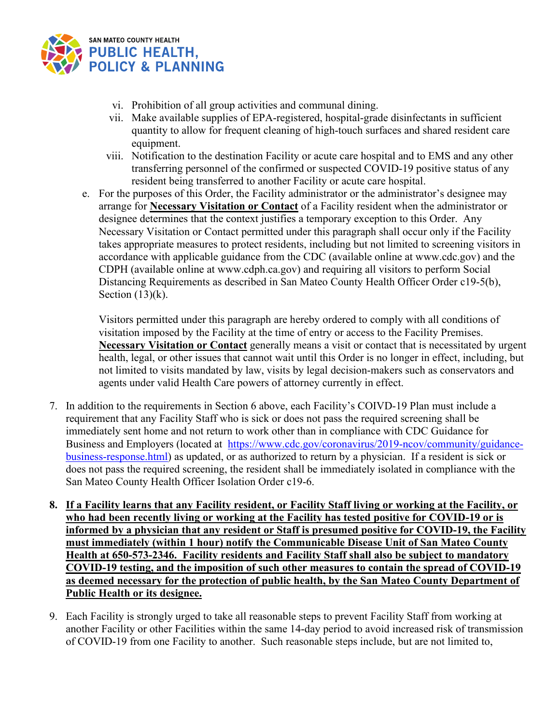

- vi. Prohibition of all group activities and communal dining.
- vii. Make available supplies of EPA-registered, hospital-grade disinfectants in sufficient quantity to allow for frequent cleaning of high-touch surfaces and shared resident care equipment.
- viii. Notification to the destination Facility or acute care hospital and to EMS and any other transferring personnel of the confirmed or suspected COVID-19 positive status of any resident being transferred to another Facility or acute care hospital.
- e. For the purposes of this Order, the Facility administrator or the administrator's designee may arrange for **Necessary Visitation or Contact** of a Facility resident when the administrator or designee determines that the context justifies a temporary exception to this Order. Any Necessary Visitation or Contact permitted under this paragraph shall occur only if the Facility takes appropriate measures to protect residents, including but not limited to screening visitors in accordance with applicable guidance from the CDC (available online at www.cdc.gov) and the CDPH (available online at www.cdph.ca.gov) and requiring all visitors to perform Social Distancing Requirements as described in San Mateo County Health Officer Order c19-5(b), Section  $(13)(k)$ .

Visitors permitted under this paragraph are hereby ordered to comply with all conditions of visitation imposed by the Facility at the time of entry or access to the Facility Premises. **Necessary Visitation or Contact** generally means a visit or contact that is necessitated by urgent health, legal, or other issues that cannot wait until this Order is no longer in effect, including, but not limited to visits mandated by law, visits by legal decision-makers such as conservators and agents under valid Health Care powers of attorney currently in effect.

- 7. In addition to the requirements in Section 6 above, each Facility's COIVD-19 Plan must include a requirement that any Facility Staff who is sick or does not pass the required screening shall be immediately sent home and not return to work other than in compliance with CDC Guidance for Business and Employers (located at [https://www.cdc.gov/coronavirus/2019-ncov/community/guidance](https://www.cdc.gov/coronavirus/2019-ncov/community/guidance-business-response.html)[business-response.html\)](https://www.cdc.gov/coronavirus/2019-ncov/community/guidance-business-response.html) as updated, or as authorized to return by a physician. If a resident is sick or does not pass the required screening, the resident shall be immediately isolated in compliance with the San Mateo County Health Officer Isolation Order c19-6.
- **8. If a Facility learns that any Facility resident, or Facility Staff living or working at the Facility, or who had been recently living or working at the Facility has tested positive for COVID-19 or is informed by a physician that any resident or Staff is presumed positive for COVID-19, the Facility must immediately (within 1 hour) notify the Communicable Disease Unit of San Mateo County Health at 650-573-2346. Facility residents and Facility Staff shall also be subject to mandatory COVID-19 testing, and the imposition of such other measures to contain the spread of COVID-19 as deemed necessary for the protection of public health, by the San Mateo County Department of Public Health or its designee.**
- 9. Each Facility is strongly urged to take all reasonable steps to prevent Facility Staff from working at another Facility or other Facilities within the same 14-day period to avoid increased risk of transmission of COVID-19 from one Facility to another. Such reasonable steps include, but are not limited to,